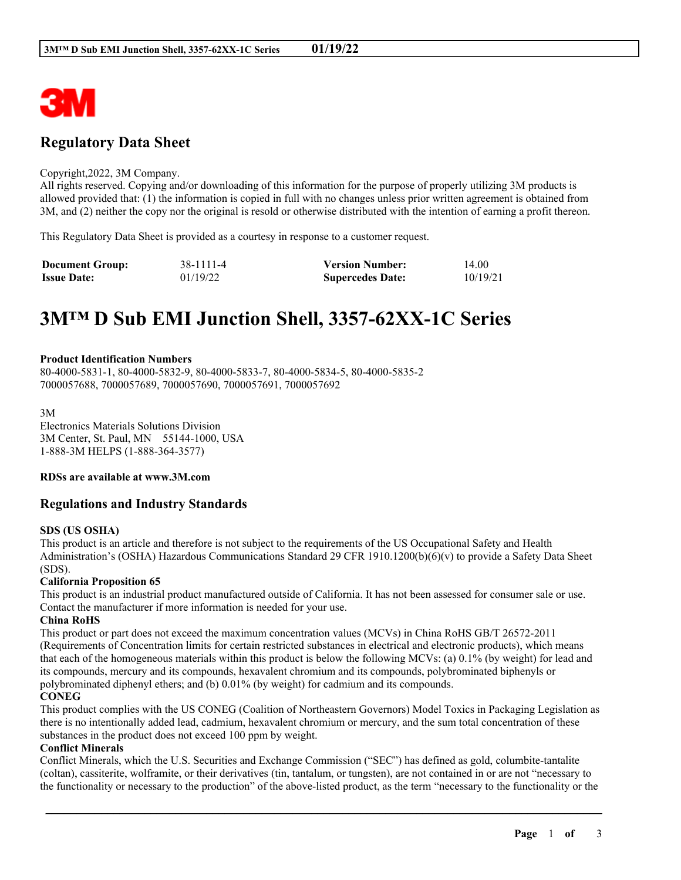

# **Regulatory Data Sheet**

#### Copyright,2022, 3M Company.

All rights reserved. Copying and/or downloading of this information for the purpose of properly utilizing 3M products is allowed provided that: (1) the information is copied in full with no changes unless prior written agreement is obtained from 3M, and (2) neither the copy nor the original is resold or otherwise distributed with the intention of earning a profit thereon.

This Regulatory Data Sheet is provided as a courtesy in response to a customer request.

| <b>Document Group:</b> | 38-1111-4 | <b>Version Number:</b>  | 14.00    |
|------------------------|-----------|-------------------------|----------|
| <b>Issue Date:</b>     | 01/19/22  | <b>Supercedes Date:</b> | 10/19/21 |

# **3M™ D Sub EMI Junction Shell, 3357-62XX-1C Series**

#### **Product Identification Numbers**

80-4000-5831-1, 80-4000-5832-9, 80-4000-5833-7, 80-4000-5834-5, 80-4000-5835-2 7000057688, 7000057689, 7000057690, 7000057691, 7000057692

3M Electronics Materials Solutions Division 3M Center, St. Paul, MN 55144-1000, USA 1-888-3M HELPS (1-888-364-3577)

#### **RDSs are available at www.3M.com**

# **Regulations and Industry Standards**

#### **SDS (US OSHA)**

This product is an article and therefore is not subject to the requirements of the US Occupational Safety and Health Administration's (OSHA) Hazardous Communications Standard 29 CFR 1910.1200(b)(6)(v) to provide a Safety Data Sheet (SDS).

#### **California Proposition 65**

This product is an industrial product manufactured outside of California. It has not been assessed for consumer sale or use. Contact the manufacturer if more information is needed for your use.

#### **China RoHS**

This product or part does not exceed the maximum concentration values (MCVs) in China RoHS GB/T 26572-2011 (Requirements of Concentration limits for certain restricted substances in electrical and electronic products), which means that each of the homogeneous materials within this product is below the following MCVs: (a) 0.1% (by weight) for lead and its compounds, mercury and its compounds, hexavalent chromium and its compounds, polybrominated biphenyls or polybrominated diphenyl ethers; and (b) 0.01% (by weight) for cadmium and its compounds.

# **CONEG**

This product complies with the US CONEG (Coalition of Northeastern Governors) Model Toxics in Packaging Legislation as there is no intentionally added lead, cadmium, hexavalent chromium or mercury, and the sum total concentration of these substances in the product does not exceed 100 ppm by weight.

#### **Conflict Minerals**

Conflict Minerals, which the U.S. Securities and Exchange Commission ("SEC") has defined as gold, columbite-tantalite (coltan), cassiterite, wolframite, or their derivatives (tin, tantalum, or tungsten), are not contained in or are not "necessary to the functionality or necessary to the production" of the above-listed product, as the term "necessary to the functionality or the

\_\_\_\_\_\_\_\_\_\_\_\_\_\_\_\_\_\_\_\_\_\_\_\_\_\_\_\_\_\_\_\_\_\_\_\_\_\_\_\_\_\_\_\_\_\_\_\_\_\_\_\_\_\_\_\_\_\_\_\_\_\_\_\_\_\_\_\_\_\_\_\_\_\_\_\_\_\_\_\_\_\_\_\_\_\_\_\_\_\_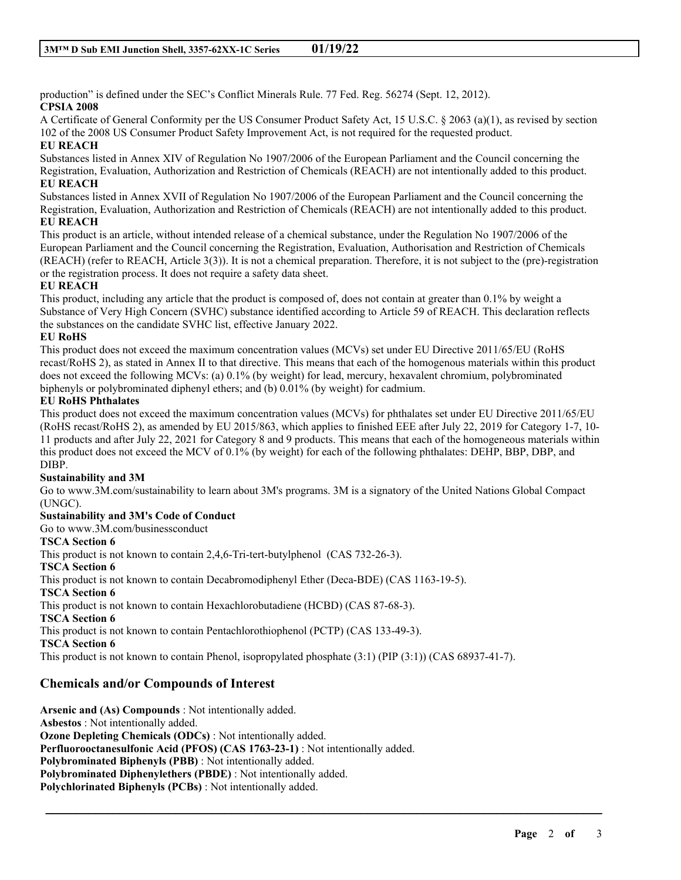production" is defined under the SEC's Conflict Minerals Rule. 77 Fed. Reg. 56274 (Sept. 12, 2012). **CPSIA 2008**

A Certificate of General Conformity per the US Consumer Product Safety Act, 15 U.S.C. § 2063 (a)(1), as revised by section 102 of the 2008 US Consumer Product Safety Improvement Act, is not required for the requested product. **EU REACH**

Substances listed in Annex XIV of Regulation No 1907/2006 of the European Parliament and the Council concerning the Registration, Evaluation, Authorization and Restriction of Chemicals (REACH) are not intentionally added to this product. **EU REACH**

Substances listed in Annex XVII of Regulation No 1907/2006 of the European Parliament and the Council concerning the Registration, Evaluation, Authorization and Restriction of Chemicals (REACH) are not intentionally added to this product. **EU REACH**

This product is an article, without intended release of a chemical substance, under the Regulation No 1907/2006 of the European Parliament and the Council concerning the Registration, Evaluation, Authorisation and Restriction of Chemicals (REACH) (refer to REACH, Article 3(3)). It is not a chemical preparation. Therefore, it is not subject to the (pre)-registration or the registration process. It does not require a safety data sheet.

# **EU REACH**

This product, including any article that the product is composed of, does not contain at greater than 0.1% by weight a Substance of Very High Concern (SVHC) substance identified according to Article 59 of REACH. This declaration reflects the substances on the candidate SVHC list, effective January 2022.

# **EU RoHS**

This product does not exceed the maximum concentration values (MCVs) set under EU Directive 2011/65/EU (RoHS recast/RoHS 2), as stated in Annex II to that directive. This means that each of the homogenous materials within this product does not exceed the following MCVs: (a) 0.1% (by weight) for lead, mercury, hexavalent chromium, polybrominated biphenyls or polybrominated diphenyl ethers; and (b) 0.01% (by weight) for cadmium.

# **EU RoHS Phthalates**

This product does not exceed the maximum concentration values (MCVs) for phthalates set under EU Directive 2011/65/EU (RoHS recast/RoHS 2), as amended by EU 2015/863, which applies to finished EEE after July 22, 2019 for Category 1-7, 10- 11 products and after July 22, 2021 for Category 8 and 9 products. This means that each of the homogeneous materials within this product does not exceed the MCV of 0.1% (by weight) for each of the following phthalates: DEHP, BBP, DBP, and DIBP.

# **Sustainability and 3M**

Go to www.3M.com/sustainability to learn about 3M's programs. 3M is a signatory of the United Nations Global Compact (UNGC).

\_\_\_\_\_\_\_\_\_\_\_\_\_\_\_\_\_\_\_\_\_\_\_\_\_\_\_\_\_\_\_\_\_\_\_\_\_\_\_\_\_\_\_\_\_\_\_\_\_\_\_\_\_\_\_\_\_\_\_\_\_\_\_\_\_\_\_\_\_\_\_\_\_\_\_\_\_\_\_\_\_\_\_\_\_\_\_\_\_\_

#### **Sustainability and 3M's Code of Conduct**

Go to www.3M.com/businessconduct

#### **TSCA Section 6**

This product is not known to contain 2,4,6-Tri-tert-butylphenol (CAS 732-26-3). **TSCA Section 6** This product is not known to contain Decabromodiphenyl Ether (Deca-BDE) (CAS 1163-19-5). **TSCA Section 6** This product is not known to contain Hexachlorobutadiene (HCBD) (CAS 87-68-3). **TSCA Section 6** This product is not known to contain Pentachlorothiophenol (PCTP) (CAS 133-49-3). **TSCA Section 6** This product is not known to contain Phenol, isopropylated phosphate (3:1) (PIP (3:1)) (CAS 68937-41-7).

# **Chemicals and/or Compounds of Interest**

**Arsenic and (As) Compounds** : Not intentionally added. **Asbestos** : Not intentionally added. **Ozone Depleting Chemicals (ODCs)** : Not intentionally added. **Perfluorooctanesulfonic Acid (PFOS) (CAS 1763-23-1)** : Not intentionally added. **Polybrominated Biphenyls (PBB)** : Not intentionally added. **Polybrominated Diphenylethers (PBDE)** : Not intentionally added. **Polychlorinated Biphenyls (PCBs)** : Not intentionally added.